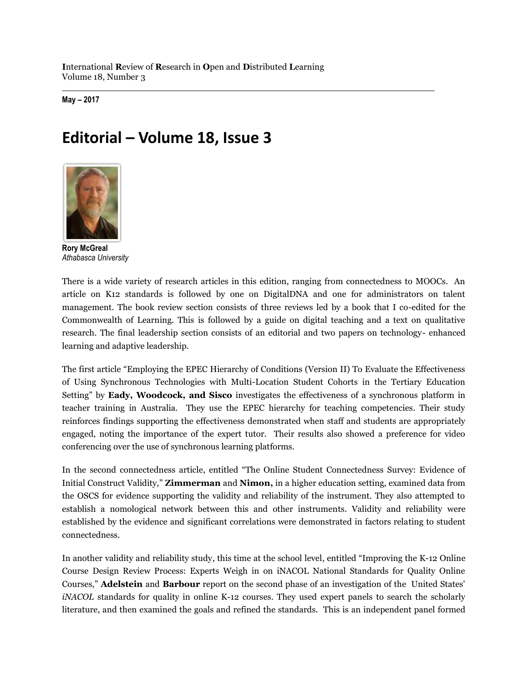**I**nternational **R**eview of **R**esearch in **O**pen and **D**istributed **L**earning Volume 18, Number 3

**May – 2017**

## **Editorial – Volume 18, Issue 3**



**Rory McGreal** *Athabasca University*

There is a wide variety of research articles in this edition, ranging from connectedness to MOOCs. An article on K12 standards is followed by one on DigitalDNA and one for administrators on talent management. The book review section consists of three reviews led by a book that I co-edited for the Commonwealth of Learning. This is followed by a guide on digital teaching and a text on qualitative research. The final leadership section consists of an editorial and two papers on technology- enhanced learning and adaptive leadership.

The first article "Employing the EPEC Hierarchy of Conditions (Version II) To Evaluate the Effectiveness of Using Synchronous Technologies with Multi-Location Student Cohorts in the Tertiary Education Setting" by **Eady, Woodcock, and Sisco** investigates the effectiveness of a synchronous platform in teacher training in Australia. They use the EPEC hierarchy for teaching competencies. Their study reinforces findings supporting the effectiveness demonstrated when staff and students are appropriately engaged, noting the importance of the expert tutor. Their results also showed a preference for video conferencing over the use of synchronous learning platforms.

In the second connectedness article, entitled "The Online Student Connectedness Survey: Evidence of Initial Construct Validity," **Zimmerman** and **Nimon,** in a higher education setting, examined data from the OSCS for evidence supporting the validity and reliability of the instrument. They also attempted to establish a nomological network between this and other instruments. Validity and reliability were established by the evidence and significant correlations were demonstrated in factors relating to student connectedness.

In another validity and reliability study, this time at the school level, entitled "Improving the K-12 Online Course Design Review Process: Experts Weigh in on iNACOL National Standards for Quality Online Courses," **Adelstein** and **Barbour** report on the second phase of an investigation of the United States' *iNACOL* standards for quality in online K-12 courses. They used expert panels to search the scholarly literature, and then examined the goals and refined the standards. This is an independent panel formed